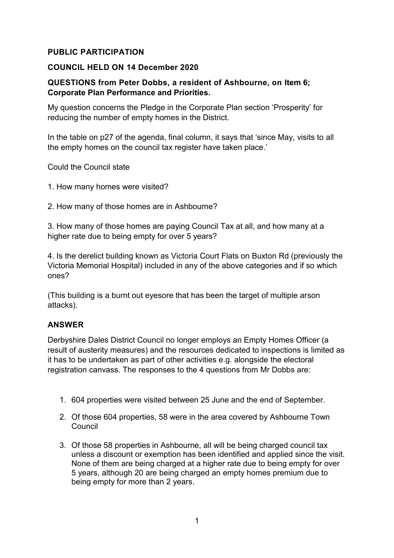## **PUBLIC PARTICIPATION**

## **COUNCIL HELD ON 14 December 2020**

## **QUESTIONS from Peter Dobbs, a resident of Ashbourne, on Item 6; Corporate Plan Performance and Priorities.**

My question concerns the Pledge in the Corporate Plan section 'Prosperity' for reducing the number of empty homes in the District.

In the table on p27 of the agenda, final column, it says that 'since May, visits to all the empty homes on the council tax register have taken place.'

Could the Council state

- 1. How many homes were visited?
- 2. How many of those homes are in Ashbourne?

3. How many of those homes are paying Council Tax at all, and how many at a higher rate due to being empty for over 5 years?

4. Is the derelict building known as Victoria Court Flats on Buxton Rd (previously the Victoria Memorial Hospital) included in any of the above categories and if so which ones?

(This building is a burnt out eyesore that has been the target of multiple arson attacks).

## **ANSWER**

Derbyshire Dales District Council no longer employs an Empty Homes Officer (a result of austerity measures) and the resources dedicated to inspections is limited as it has to be undertaken as part of other activities e.g. alongside the electoral registration canvass. The responses to the 4 questions from Mr Dobbs are:

- 1. 604 properties were visited between 25 June and the end of September.
- 2. Of those 604 properties, 58 were in the area covered by Ashbourne Town Council
- 3. Of those 58 properties in Ashbourne, all will be being charged council tax unless a discount or exemption has been identified and applied since the visit. None of them are being charged at a higher rate due to being empty for over 5 years, although 20 are being charged an empty homes premium due to being empty for more than 2 years.